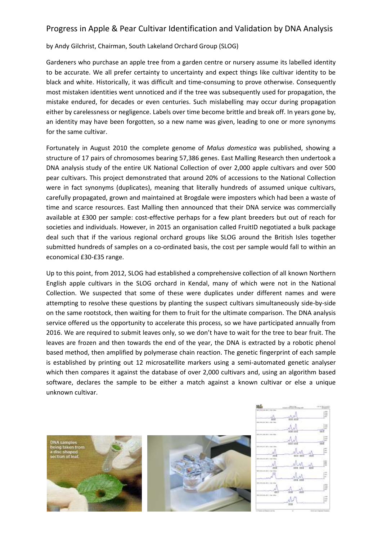## Progress in Apple & Pear Cultivar Identification and Validation by DNA Analysis

## by Andy Gilchrist, Chairman, South Lakeland Orchard Group (SLOG)

Gardeners who purchase an apple tree from a garden centre or nursery assume its labelled identity to be accurate. We all prefer certainty to uncertainty and expect things like cultivar identity to be black and white. Historically, it was difficult and time-consuming to prove otherwise. Consequently most mistaken identities went unnoticed and if the tree was subsequently used for propagation, the mistake endured, for decades or even centuries. Such mislabelling may occur during propagation either by carelessness or negligence. Labels over time become brittle and break off. In years gone by, an identity may have been forgotten, so a new name was given, leading to one or more synonyms for the same cultivar.

Fortunately in August 2010 the complete genome of *Malus domestica* was published, showing a structure of 17 pairs of chromosomes bearing 57,386 genes. East Malling Research then undertook a DNA analysis study of the entire UK National Collection of over 2,000 apple cultivars and over 500 pear cultivars. This project demonstrated that around 20% of accessions to the National Collection were in fact synonyms (duplicates), meaning that literally hundreds of assumed unique cultivars, carefully propagated, grown and maintained at Brogdale were imposters which had been a waste of time and scarce resources. East Malling then announced that their DNA service was commercially available at £300 per sample: cost-effective perhaps for a few plant breeders but out of reach for societies and individuals. However, in 2015 an organisation called FruitID negotiated a bulk package deal such that if the various regional orchard groups like SLOG around the British Isles together submitted hundreds of samples on a co-ordinated basis, the cost per sample would fall to within an economical £30-£35 range.

Up to this point, from 2012, SLOG had established a comprehensive collection of all known Northern English apple cultivars in the SLOG orchard in Kendal, many of which were not in the National Collection. We suspected that some of these were duplicates under different names and were attempting to resolve these questions by planting the suspect cultivars simultaneously side-by-side on the same rootstock, then waiting for them to fruit for the ultimate comparison. The DNA analysis service offered us the opportunity to accelerate this process, so we have participated annually from 2016. We are required to submit leaves only, so we don't have to wait for the tree to bear fruit. The leaves are frozen and then towards the end of the year, the DNA is extracted by a robotic phenol based method, then amplified by polymerase chain reaction. The genetic fingerprint of each sample is established by printing out 12 microsatellite markers using a semi-automated genetic analyser which then compares it against the database of over 2,000 cultivars and, using an algorithm based software, declares the sample to be either a match against a known cultivar or else a unique unknown cultivar.



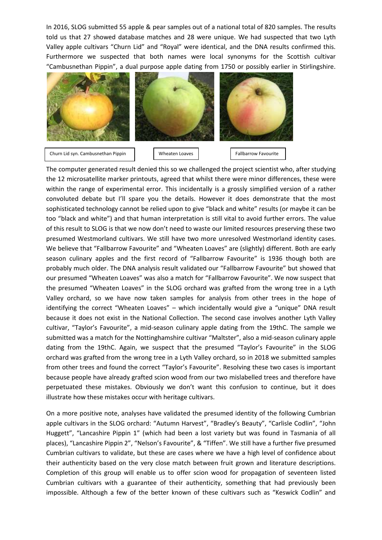In 2016, SLOG submitted 55 apple & pear samples out of a national total of 820 samples. The results told us that 27 showed database matches and 28 were unique. We had suspected that two Lyth Valley apple cultivars "Churn Lid" and "Royal" were identical, and the DNA results confirmed this. Furthermore we suspected that both names were local synonyms for the Scottish cultivar "Cambusnethan Pippin", a dual purpose apple dating from 1750 or possibly earlier in Stirlingshire.



The computer generated result denied this so we challenged the project scientist who, after studying the 12 microsatellite marker printouts, agreed that whilst there were minor differences, these were within the range of experimental error. This incidentally is a grossly simplified version of a rather convoluted debate but I'll spare you the details. However it does demonstrate that the most sophisticated technology cannot be relied upon to give "black and white" results (or maybe it can be too "black and white") and that human interpretation is still vital to avoid further errors. The value of this result to SLOG is that we now don't need to waste our limited resources preserving these two presumed Westmorland cultivars. We still have two more unresolved Westmorland identity cases. We believe that "Fallbarrow Favourite" and "Wheaten Loaves" are (slightly) different. Both are early season culinary apples and the first record of "Fallbarrow Favourite" is 1936 though both are probably much older. The DNA analysis result validated our "Fallbarrow Favourite" but showed that our presumed "Wheaten Loaves" was also a match for "Fallbarrow Favourite". We now suspect that the presumed "Wheaten Loaves" in the SLOG orchard was grafted from the wrong tree in a Lyth Valley orchard, so we have now taken samples for analysis from other trees in the hope of identifying the correct "Wheaten Loaves" – which incidentally would give a "unique" DNA result because it does not exist in the National Collection. The second case involves another Lyth Valley cultivar, "Taylor's Favourite", a mid-season culinary apple dating from the 19thC. The sample we submitted was a match for the Nottinghamshire cultivar "Maltster", also a mid-season culinary apple dating from the 19thC. Again, we suspect that the presumed "Taylor's Favourite" in the SLOG orchard was grafted from the wrong tree in a Lyth Valley orchard, so in 2018 we submitted samples from other trees and found the correct "Taylor's Favourite". Resolving these two cases is important because people have already grafted scion wood from our two mislabelled trees and therefore have perpetuated these mistakes. Obviously we don't want this confusion to continue, but it does illustrate how these mistakes occur with heritage cultivars.

On a more positive note, analyses have validated the presumed identity of the following Cumbrian apple cultivars in the SLOG orchard: "Autumn Harvest", "Bradley's Beauty", "Carlisle Codlin", "John Huggett", "Lancashire Pippin 1" (which had been a lost variety but was found in Tasmania of all places), "Lancashire Pippin 2", "Nelson's Favourite", & "Tiffen". We still have a further five presumed Cumbrian cultivars to validate, but these are cases where we have a high level of confidence about their authenticity based on the very close match between fruit grown and literature descriptions. Completion of this group will enable us to offer scion wood for propagation of seventeen listed Cumbrian cultivars with a guarantee of their authenticity, something that had previously been impossible. Although a few of the better known of these cultivars such as "Keswick Codlin" and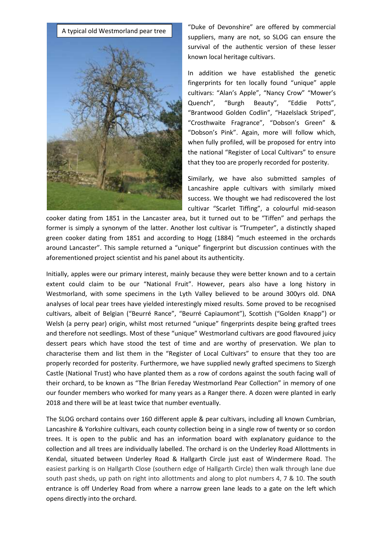

"Duke of Devonshire" are offered by commercial suppliers, many are not, so SLOG can ensure the survival of the authentic version of these lesser known local heritage cultivars.

In addition we have established the genetic fingerprints for ten locally found "unique" apple cultivars: "Alan's Apple", "Nancy Crow" "Mower's Quench", "Burgh Beauty", "Eddie Potts", "Brantwood Golden Codlin", "Hazelslack Striped", "Crosthwaite Fragrance", "Dobson's Green" & "Dobson's Pink". Again, more will follow which, when fully profiled, will be proposed for entry into the national "Register of Local Cultivars" to ensure that they too are properly recorded for posterity.

Similarly, we have also submitted samples of Lancashire apple cultivars with similarly mixed success. We thought we had rediscovered the lost cultivar "Scarlet Tiffing", a colourful mid-season

cooker dating from 1851 in the Lancaster area, but it turned out to be "Tiffen" and perhaps the former is simply a synonym of the latter. Another lost cultivar is "Trumpeter", a distinctly shaped green cooker dating from 1851 and according to Hogg (1884) "much esteemed in the orchards around Lancaster". This sample returned a "unique" fingerprint but discussion continues with the aforementioned project scientist and his panel about its authenticity.

Initially, apples were our primary interest, mainly because they were better known and to a certain extent could claim to be our "National Fruit". However, pears also have a long history in Westmorland, with some specimens in the Lyth Valley believed to be around 300yrs old. DNA analyses of local pear trees have yielded interestingly mixed results. Some proved to be recognised cultivars, albeit of Belgian ("Beurré Rance", "Beurré Capiaumont"), Scottish ("Golden Knapp") or Welsh (a perry pear) origin, whilst most returned "unique" fingerprints despite being grafted trees and therefore not seedlings. Most of these "unique" Westmorland cultivars are good flavoured juicy dessert pears which have stood the test of time and are worthy of preservation. We plan to characterise them and list them in the "Register of Local Cultivars" to ensure that they too are properly recorded for posterity. Furthermore, we have supplied newly grafted specimens to Sizergh Castle (National Trust) who have planted them as a row of cordons against the south facing wall of their orchard, to be known as "The Brian Fereday Westmorland Pear Collection" in memory of one our founder members who worked for many years as a Ranger there. A dozen were planted in early 2018 and there will be at least twice that number eventually.

The SLOG orchard contains over 160 different apple & pear cultivars, including all known Cumbrian, Lancashire & Yorkshire cultivars, each county collection being in a single row of twenty or so cordon trees. It is open to the public and has an information board with explanatory guidance to the collection and all trees are individually labelled. The orchard is on the Underley Road Allottments in Kendal, situated between Underley Road & Hallgarth Circle just east of Windermere Road. The easiest parking is on Hallgarth Close (southern edge of Hallgarth Circle) then walk through lane due south past sheds, up path on right into allottments and along to plot numbers 4, 7 & 10. The south entrance is off Underley Road from where a narrow green lane leads to a gate on the left which opens directly into the orchard.